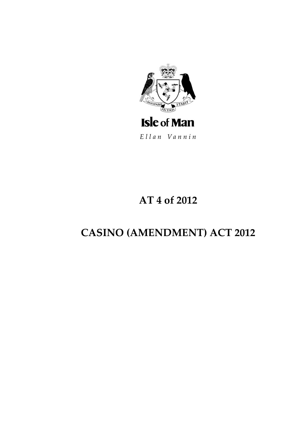

Ellan Vannin

# AT 4 of 2012

# **CASINO (AMENDMENT) ACT 2012**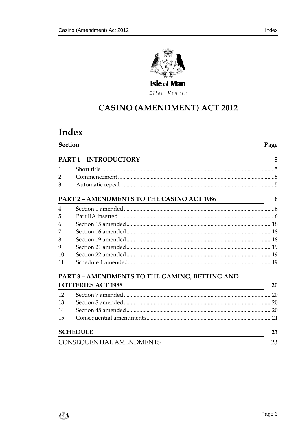

Ellan Vannin

# **CASINO (AMENDMENT) ACT 2012**

# Index

| <b>Section</b>                  |                                                                                                                                                     | Page |
|---------------------------------|-----------------------------------------------------------------------------------------------------------------------------------------------------|------|
|                                 | <b>PART 1 - INTRODUCTORY</b>                                                                                                                        | 5    |
| 1                               |                                                                                                                                                     |      |
| $\overline{2}$                  |                                                                                                                                                     |      |
| 3                               |                                                                                                                                                     |      |
|                                 | PART 2 - AMENDMENTS TO THE CASINO ACT 1986                                                                                                          | 6    |
| 4                               |                                                                                                                                                     |      |
| 5                               |                                                                                                                                                     |      |
| 6                               |                                                                                                                                                     |      |
| 7                               |                                                                                                                                                     |      |
| 8                               |                                                                                                                                                     |      |
| 9                               |                                                                                                                                                     |      |
| 10                              |                                                                                                                                                     |      |
| 11                              |                                                                                                                                                     |      |
|                                 | PART 3 - AMENDMENTS TO THE GAMING, BETTING AND                                                                                                      |      |
|                                 | <b>LOTTERIES ACT 1988</b><br><u> 1980 - Johann Barn, mars ann an t-Amhain ann an t-Amhain an t-Amhain an t-Amhain an t-Amhain an t-Amhain an t-</u> | 20   |
| 12                              |                                                                                                                                                     |      |
| 13                              |                                                                                                                                                     |      |
| 14                              |                                                                                                                                                     |      |
| 15                              |                                                                                                                                                     |      |
| <b>SCHEDULE</b>                 |                                                                                                                                                     | 23   |
| <b>CONSEQUENTIAL AMENDMENTS</b> |                                                                                                                                                     | 23   |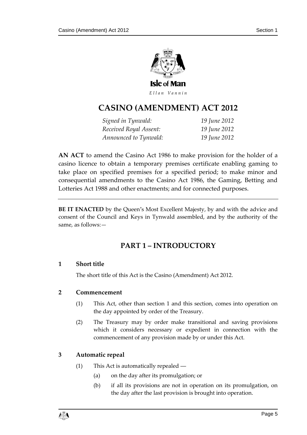

Ellan Vannin

# **CASINO (AME NDMENT) ACT 2012**

*Signed in Tynwald: 19 June 2012 Received Royal Assent: 19 June 2012 Announced to Tynwald: 19 June 2012*

**AN ACT** to amend the Casino Act 1986 to make provision for the holder of a casino licence to obtain a temporary premises certificate enabling gaming to take place on specified premises for a specified period; to make minor and consequential amendments to the Casino Act 1986, the Gaming, Betting and Lotteries Act 1988 and other enactments; and for connected purposes.

<span id="page-4-0"></span>**BE IT ENACTED** by the Queen's Most Excellent Majesty, by and with the advice and consent of the Council and Keys in Tynwald assembled, and by the authority of the same, as follows:—

# **PART 1 – INTRODUCTORY**

#### <span id="page-4-1"></span>**1 Short title**

The short title of this Act is the Casino (Amendment) Act 2012.

#### <span id="page-4-2"></span>**2 Commencement**

- (1) This Act, other than section 1 and this section, comes into operation on the day appointed by order of the Treasury.
- (2) The Treasury may by order make transitional and saving provisions which it considers necessary or expedient in connection with the commencement of any provision made by or under this Act.

### <span id="page-4-3"></span>**3 Automatic repeal**

- (1) This Act is automatically repealed ―
	- (a) on the day after its promulgation; or
	- (b) if all its provisions are not in operation on its promulgation, on the day after the last provision is brought into operation.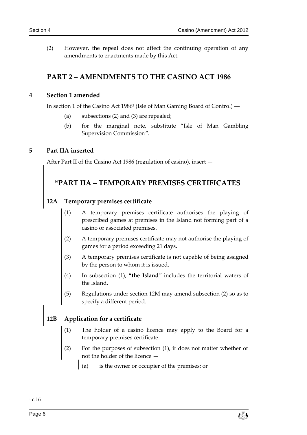(2) However, the repeal does not affect the continuing operation of any amendments to enactments made by this Act.

# <span id="page-5-0"></span>**PART 2 – AMENDMENTS TO THE CASINO ACT 1986**

#### <span id="page-5-1"></span>**4 Section 1 amended**

In section 1 of the Casino Act 1986<sup>1</sup> (Isle of Man Gaming Board of Control) ―

- (a) subsections (2) and (3) are repealed;
- (b) for the marginal note, substitute "Isle of Man Gambling Supervision Commission".

#### <span id="page-5-2"></span>**5 Part IIA inserted**

After Part II of the Casino Act 1986 (regulation of casino), insert —

# **"PART IIA – TEMPORARY PREMISES CERTIFICATES**

#### **12A Temporary premises certificate**

- (1) A temporary premises certificate authorises the playing of prescribed games at premises in the Island not forming part of a casino or associated premises.
- (2) A temporary premises certificate may not authorise the playing of games for a period exceeding 21 days.
- (3) A temporary premises certificate is not capable of being assigned by the person to whom it is issued.
- (4) In subsection (1), "**the Island**" includes the territorial waters of the Island.
- (5) Regulations under section 12M may amend subsection (2) so as to specify a different period.

# **12B Application for a certificate**

- (1) The holder of a casino licence may apply to the Board for a temporary premises certificate.
- (2) For the purposes of subsection (1), it does not matter whether or not the holder of the licence —
	- (a) is the owner or occupier of the premises; or



 $1 c.16$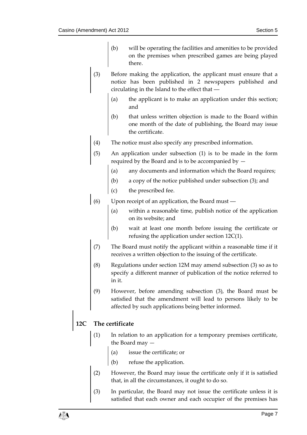- (b) will be operating the facilities and amenities to be provided on the premises when prescribed games are being played there.
- (3) Before making the application, the applicant must ensure that a notice has been published in 2 newspapers published and circulating in the Island to the effect that ―
	- (a) the applicant is to make an application under this section; and
	- (b) that unless written objection is made to the Board within one month of the date of publishing, the Board may issue the certificate.
- (4) The notice must also specify any prescribed information.
- (5) An application under subsection (1) is to be made in the form required by the Board and is to be accompanied by —
	- (a) any documents and information which the Board requires;
	- (b) a copy of the notice published under subsection (3); and
	- (c) the prescribed fee.
- (6) Upon receipt of an application, the Board must ―
	- (a) within a reasonable time, publish notice of the application on its website; and
	- (b) wait at least one month before issuing the certificate or refusing the application under section 12C(1).
	- (7) The Board must notify the applicant within a reasonable time if it receives a written objection to the issuing of the certificate.
	- (8) Regulations under section 12M may amend subsection (3) so as to specify a different manner of publication of the notice referred to in it.
	- (9) However, before amending subsection (3), the Board must be satisfied that the amendment will lead to persons likely to be affected by such applications being better informed.

# **12C The certificate**

- (1) In relation to an application for a temporary premises certificate, the Board may —
	- (a) issue the certificate; or
	- (b) refuse the application.
- (2) However, the Board may issue the certificate only if it is satisfied that, in all the circumstances, it ought to do so.
- (3) In particular, the Board may not issue the certificate unless it is satisfied that each owner and each occupier of the premises has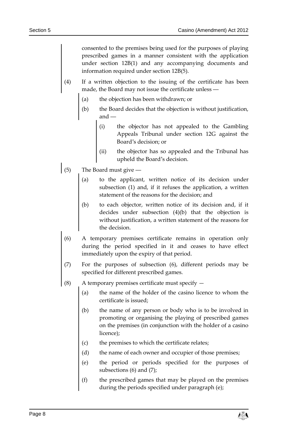consented to the premises being used for the purposes of playing prescribed games in a manner consistent with the application under section 12B(1) and any accompanying documents and information required under section 12B(5).

- If a written objection to the issuing of the certificate has been made, the Board may not issue the certificate unless ―
	- (a) the objection has been withdrawn; or
	- (b) the Board decides that the objection is without justification, and ―
		- (i) the objector has not appealed to the Gambling Appeals Tribunal under section 12G against the Board's decision; or
		- (ii) the objector has so appealed and the Tribunal has upheld the Board's decision.
- (5) The Board must give ―
	- (a) to the applicant, written notice of its decision under subsection (1) and, if it refuses the application, a written statement of the reasons for the decision; and
	- (b) to each objector, written notice of its decision and, if it decides under subsection (4)(b) that the objection is without justification, a written statement of the reasons for the decision.
	- (6) A temporary premises certificate remains in operation only during the period specified in it and ceases to have effect immediately upon the expiry of that period.
- (7) For the purposes of subsection (6), different periods may be specified for different prescribed games.
- (8) A temporary premises certificate must specify
	- (a) the name of the holder of the casino licence to whom the certificate is issued;
	- (b) the name of any person or body who is to be involved in promoting or organising the playing of prescribed games on the premises (in conjunction with the holder of a casino licence);
	- (c) the premises to which the certificate relates;
	- (d) the name of each owner and occupier of those premises;
	- (e) the period or periods specified for the purposes of subsections (6) and (7);
	- (f) the prescribed games that may be played on the premises during the periods specified under paragraph (e);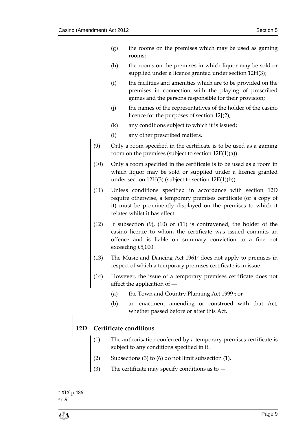- (g) the rooms on the premises which may be used as gaming rooms;
- (h) the rooms on the premises in which liquor may be sold or supplied under a licence granted under section 12H(3);
- (i) the facilities and amenities which are to be provided on the premises in connection with the playing of prescribed games and the persons responsible for their provision;
- (j) the names of the representatives of the holder of the casino licence for the purposes of section 12J(2);
- (k) any conditions subject to which it is issued;
- (l) any other prescribed matters.
- (9) Only a room specified in the certificate is to be used as a gaming room on the premises (subject to section  $12E(1)(a)$ ).
- (10) Only a room specified in the certificate is to be used as a room in which liquor may be sold or supplied under a licence granted under section 12H(3) (subject to section 12E(1)(b)).
- (11) Unless conditions specified in accordance with section 12D require otherwise, a temporary premises certificate (or a copy of it) must be prominently displayed on the premises to which it relates whilst it has effect.
- (12) If subsection (9), (10) or (11) is contravened, the holder of the casino licence to whom the certificate was issued commits an offence and is liable on summary conviction to a fine not exceeding £5,000.
- (13) The Music and Dancing Act 1961<sup>2</sup> does not apply to premises in respect of which a temporary premises certificate is in issue.
- (14) However, the issue of a temporary premises certificate does not affect the application of ―
	- (a) the Town and Country Planning Act 1999<sup>3</sup>; or
	- (b) an enactment amending or construed with that Act, whether passed before or after this Act.

### **12D Certificate conditions**

- (1) The authorisation conferred by a temporary premises certificate is subject to any conditions specified in it.
- (2) Subsections (3) to (6) do not limit subsection (1).
- (3) The certificate may specify conditions as to —

 $\overline{a}$ 

<sup>2</sup> XIX p.486

<sup>3</sup> c.9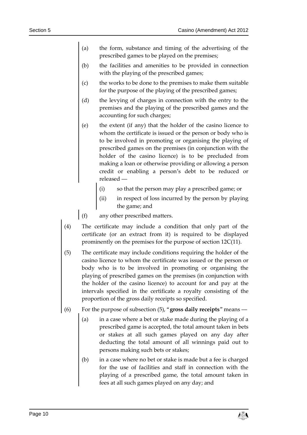- (a) the form, substance and timing of the advertising of the prescribed games to be played on the premises;
- (b) the facilities and amenities to be provided in connection with the playing of the prescribed games;
- (c) the works to be done to the premises to make them suitable for the purpose of the playing of the prescribed games;
- (d) the levying of charges in connection with the entry to the premises and the playing of the prescribed games and the accounting for such charges;
- (e) the extent (if any) that the holder of the casino licence to whom the certificate is issued or the person or body who is to be involved in promoting or organising the playing of prescribed games on the premises (in conjunction with the holder of the casino licence) is to be precluded from making a loan or otherwise providing or allowing a person credit or enabling a person's debt to be reduced or released ―
	- (i) so that the person may play a prescribed game; or
	- (ii) in respect of loss incurred by the person by playing the game; and
- (f) any other prescribed matters.
- (4) The certificate may include a condition that only part of the certificate (or an extract from it) is required to be displayed prominently on the premises for the purpose of section 12C(11).
- (5) The certificate may include conditions requiring the holder of the casino licence to whom the certificate was issued or the person or body who is to be involved in promoting or organising the playing of prescribed games on the premises (in conjunction with the holder of the casino licence) to account for and pay at the intervals specified in the certificate a royalty consisting of the proportion of the gross daily receipts so specified.
- (6) For the purpose of subsection (5), "**gross daily receipts**" means ―
	- (a) in a case where a bet or stake made during the playing of a prescribed game is accepted, the total amount taken in bets or stakes at all such games played on any day after deducting the total amount of all winnings paid out to persons making such bets or stakes;
	- (b) in a case where no bet or stake is made but a fee is charged for the use of facilities and staff in connection with the playing of a prescribed game, the total amount taken in fees at all such games played on any day; and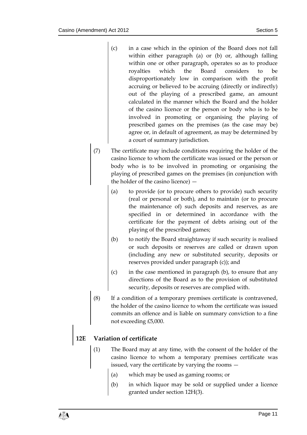- (c) in a case which in the opinion of the Board does not fall within either paragraph (a) or (b) or, although falling within one or other paragraph, operates so as to produce royalties which the Board considers to be disproportionately low in comparison with the profit accruing or believed to be accruing (directly or indirectly) out of the playing of a prescribed game, an amount calculated in the manner which the Board and the holder of the casino licence or the person or body who is to be involved in promoting or organising the playing of prescribed games on the premises (as the case may be) agree or, in default of agreement, as may be determined by a court of summary jurisdiction.
- (7) The certificate may include conditions requiring the holder of the casino licence to whom the certificate was issued or the person or body who is to be involved in promoting or organising the playing of prescribed games on the premises (in conjunction with the holder of the casino licence) —
	- (a) to provide (or to procure others to provide) such security (real or personal or both), and to maintain (or to procure the maintenance of) such deposits and reserves, as are specified in or determined in accordance with the certificate for the payment of debts arising out of the playing of the prescribed games;
	- (b) to notify the Board straightaway if such security is realised or such deposits or reserves are called or drawn upon (including any new or substituted security, deposits or reserves provided under paragraph (c)); and
	- (c) in the case mentioned in paragraph (b), to ensure that any directions of the Board as to the provision of substituted security, deposits or reserves are complied with.
- (8) If a condition of a temporary premises certificate is contravened, the holder of the casino licence to whom the certificate was issued commits an offence and is liable on summary conviction to a fine not exceeding £5,000.

## **12E Variation of certificate**

- (1) The Board may at any time, with the consent of the holder of the casino licence to whom a temporary premises certificate was issued, vary the certificate by varying the rooms —
	- (a) which may be used as gaming rooms; or
	- (b) in which liquor may be sold or supplied under a licence granted under section 12H(3).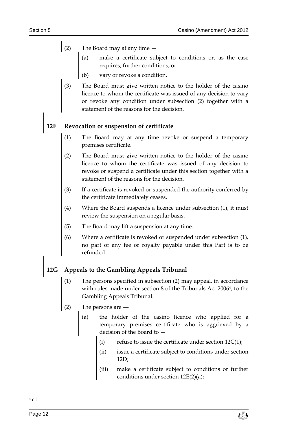- (2) The Board may at any time
	- (a) make a certificate subject to conditions or, as the case requires, further conditions; or
	- (b) vary or revoke a condition.
	- (3) The Board must give written notice to the holder of the casino licence to whom the certificate was issued of any decision to vary or revoke any condition under subsection (2) together with a statement of the reasons for the decision.

## **12F Revocation or suspension of certificate**

- (1) The Board may at any time revoke or suspend a temporary premises certificate.
- (2) The Board must give written notice to the holder of the casino licence to whom the certificate was issued of any decision to revoke or suspend a certificate under this section together with a statement of the reasons for the decision.
- (3) If a certificate is revoked or suspended the authority conferred by the certificate immediately ceases.
- (4) Where the Board suspends a licence under subsection (1), it must review the suspension on a regular basis.
- (5) The Board may lift a suspension at any time.
- (6) Where a certificate is revoked or suspended under subsection (1), no part of any fee or royalty payable under this Part is to be refunded.

# **12G Appeals to the Gambling Appeals Tribunal**

- (1) The persons specified in subsection (2) may appeal, in accordance with rules made under section 8 of the Tribunals Act 2006<sup>4</sup>, to the Gambling Appeals Tribunal.
- (2) The persons are ―
	- (a) the holder of the casino licence who applied for a temporary premises certificate who is aggrieved by a decision of the Board to
		- refuse to issue the certificate under section  $12C(1)$ ;
		- (ii) issue a certificate subject to conditions under section 12D;
		- (iii) make a certificate subject to conditions or further conditions under section 12E(2)(a);

<sup>-</sup><sup>4</sup> c.1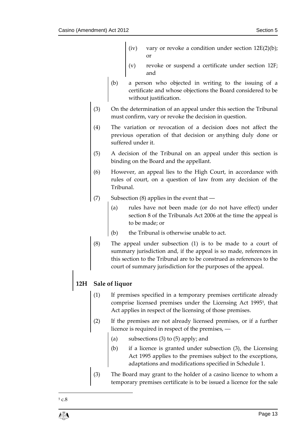- (iv) vary or revoke a condition under section  $12E(2)(b)$ ; or
- (v) revoke or suspend a certificate under section 12F; and
- (b) a person who objected in writing to the issuing of a certificate and whose objections the Board considered to be without justification.
- (3) On the determination of an appeal under this section the Tribunal must confirm, vary or revoke the decision in question.
- (4) The variation or revocation of a decision does not affect the previous operation of that decision or anything duly done or suffered under it.
- (5) A decision of the Tribunal on an appeal under this section is binding on the Board and the appellant.
- (6) However, an appeal lies to the High Court, in accordance with rules of court, on a question of law from any decision of the Tribunal.
- (7) Subsection (8) applies in the event that ―
	- (a) rules have not been made (or do not have effect) under section 8 of the Tribunals Act 2006 at the time the appeal is to be made; or
	- (b) the Tribunal is otherwise unable to act.
- (8) The appeal under subsection (1) is to be made to a court of summary jurisdiction and, if the appeal is so made, references in this section to the Tribunal are to be construed as references to the court of summary jurisdiction for the purposes of the appeal.

# **12H Sale of liquor**

- (1) If premises specified in a temporary premises certificate already comprise licensed premises under the Licensing Act 1995<sup>5</sup> , that Act applies in respect of the licensing of those premises.
- (2) If the premises are not already licensed premises, or if a further licence is required in respect of the premises, ―
	- (a) subsections (3) to (5) apply; and
	- (b) if a licence is granted under subsection (3), the Licensing Act 1995 applies to the premises subject to the exceptions, adaptations and modifications specified in Schedule 1.
- (3) The Board may grant to the holder of a casino licence to whom a temporary premises certificate is to be issued a licence for the sale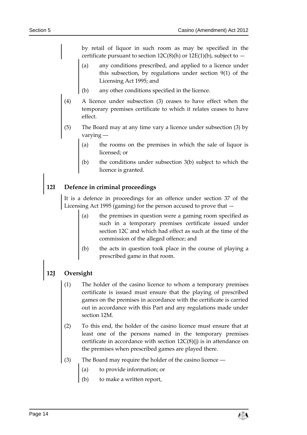by retail of liquor in such room as may be specified in the certificate pursuant to section  $12C(8)(h)$  or  $12E(1)(b)$ , subject to  $-$ 

- (a) any conditions prescribed, and applied to a licence under this subsection, by regulations under section 9(1) of the Licensing Act 1995; and
- (b) any other conditions specified in the licence.
- (4) A licence under subsection (3) ceases to have effect when the temporary premises certificate to which it relates ceases to have effect.
- (5) The Board may at any time vary a licence under subsection (3) by varying ―
	- (a) the rooms on the premises in which the sale of liquor is licensed; or
	- (b) the conditions under subsection 3(b) subject to which the licence is granted.

# **12I Defence in criminal proceedings**

It is a defence in proceedings for an offence under section 37 of the Licensing Act 1995 (gaming) for the person accused to prove that —

- (a) the premises in question were a gaming room specified as such in a temporary premises certificate issued under section 12C and which had effect as such at the time of the commission of the alleged offence; and
- (b) the acts in question took place in the course of playing a prescribed game in that room.

## **12J Oversight**

- (1) The holder of the casino licence to whom a temporary premises certificate is issued must ensure that the playing of prescribed games on the premises in accordance with the certificate is carried out in accordance with this Part and any regulations made under section 12M.
- (2) To this end, the holder of the casino licence must ensure that at least one of the persons named in the temporary premises certificate in accordance with section  $12C(8)(i)$  is in attendance on the premises when prescribed games are played there.
- (3) The Board may require the holder of the casino licence ―
	- (a) to provide information; or
	- to make a written report,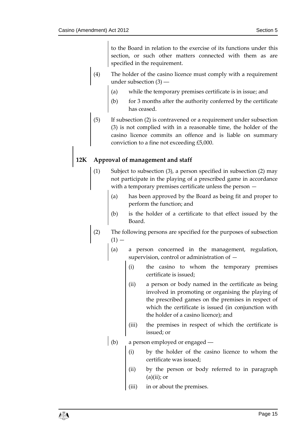to the Board in relation to the exercise of its functions under this section, or such other matters connected with them as are specified in the requirement.

- (4) The holder of the casino licence must comply with a requirement under subsection (3) ―
	- (a) while the temporary premises certificate is in issue; and
	- (b) for 3 months after the authority conferred by the certificate has ceased.
- (5) If subsection (2) is contravened or a requirement under subsection (3) is not complied with in a reasonable time, the holder of the casino licence commits an offence and is liable on summary conviction to a fine not exceeding £5,000.

## **12K Approval of management and staff**

- (1) Subject to subsection (3), a person specified in subsection (2) may not participate in the playing of a prescribed game in accordance with a temporary premises certificate unless the person —
	- (a) has been approved by the Board as being fit and proper to perform the function; and
	- (b) is the holder of a certificate to that effect issued by the Board.
- (2) The following persons are specified for the purposes of subsection  $(1) -$ 
	- (a) a person concerned in the management, regulation, supervision, control or administration of —
		- (i) the casino to whom the temporary premises certificate is issued;
		- (ii) a person or body named in the certificate as being involved in promoting or organising the playing of the prescribed games on the premises in respect of which the certificate is issued (in conjunction with the holder of a casino licence); and
		- (iii) the premises in respect of which the certificate is issued; or
	- (b) a person employed or engaged
		- (i) by the holder of the casino licence to whom the certificate was issued;
		- (ii) by the person or body referred to in paragraph  $(a)(ii)$ ; or
		- (iii) in or about the premises.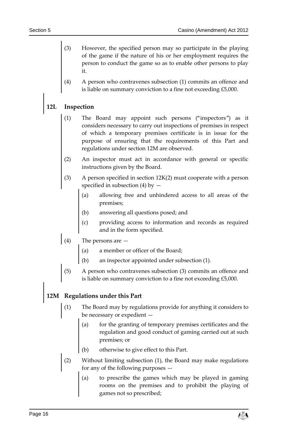- However, the specified person may so participate in the playing of the game if the nature of his or her employment requires the person to conduct the game so as to enable other persons to play it.
- (4) A person who contravenes subsection (1) commits an offence and is liable on summary conviction to a fine not exceeding £5,000.

### **12L Inspection**

- (1) The Board may appoint such persons ("inspectors") as it considers necessary to carry out inspections of premises in respect of which a temporary premises certificate is in issue for the purpose of ensuring that the requirements of this Part and regulations under section 12M are observed.
- (2) An inspector must act in accordance with general or specific instructions given by the Board.
- (3) A person specified in section 12K(2) must cooperate with a person specified in subsection (4) by  $-$ 
	- (a) allowing free and unhindered access to all areas of the premises;
	- (b) answering all questions posed; and
	- providing access to information and records as required and in the form specified.
- (4) The persons are
	- (a) a member or officer of the Board;
	- an inspector appointed under subsection (1).
- (5) A person who contravenes subsection (3) commits an offence and is liable on summary conviction to a fine not exceeding £5,000.

## **12M Regulations under this Part**

- The Board may by regulations provide for anything it considers to be necessary or expedient
	- for the granting of temporary premises certificates and the regulation and good conduct of gaming carried out at such premises; or
	- (b) otherwise to give effect to this Part.
- (2) Without limiting subsection (1), the Board may make regulations for any of the following purposes —
	- (a) to prescribe the games which may be played in gaming rooms on the premises and to prohibit the playing of games not so prescribed;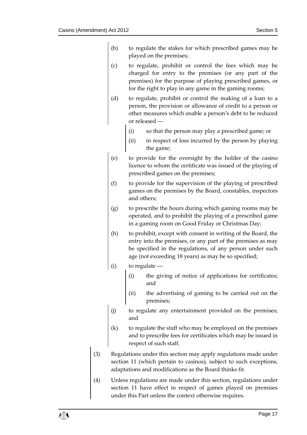- (b) to regulate the stakes for which prescribed games may be played on the premises;
- (c) to regulate, prohibit or control the fees which may be charged for entry to the premises (or any part of the premises) for the purpose of playing prescribed games, or for the right to play in any game in the gaming rooms;
- (d) to regulate, prohibit or control the making of a loan to a person, the provision or allowance of credit to a person or other measures which enable a person's debt to be reduced or released ―
	- (i) so that the person may play a prescribed game; or
	- (ii) in respect of loss incurred by the person by playing the game;
- (e) to provide for the oversight by the holder of the casino licence to whom the certificate was issued of the playing of prescribed games on the premises;
- (f) to provide for the supervision of the playing of prescribed games on the premises by the Board, constables, inspectors and others;
- (g) to prescribe the hours during which gaming rooms may be operated, and to prohibit the playing of a prescribed game in a gaming room on Good Friday or Christmas Day;
- (h) to prohibit, except with consent in writing of the Board, the entry into the premises, or any part of the premises as may be specified in the regulations, of any person under such age (not exceeding 18 years) as may be so specified;
- $(i)$  to regulate
	- (i) the giving of notice of applications for certificates; and
	- (ii) the advertising of gaming to be carried out on the premises;
- (j) to regulate any entertainment provided on the premises; and
- (k) to regulate the staff who may be employed on the premises and to prescribe fees for certificates which may be issued in respect of such staff.
- (3) Regulations under this section may apply regulations made under section 11 (which pertain to casinos), subject to such exceptions, adaptations and modifications as the Board thinks fit.
- (4) Unless regulations are made under this section, regulations under section 11 have effect in respect of games played on premises under this Part unless the context otherwise requires.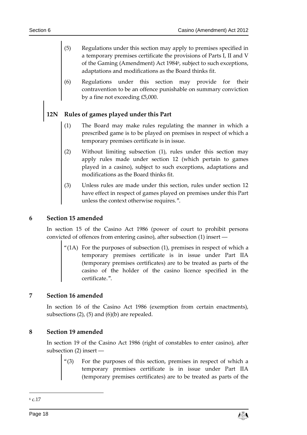- (5) Regulations under this section may apply to premises specified in a temporary premises certificate the provisions of Parts I, II and V of the Gaming (Amendment) Act 1984<sup>6</sup>, subject to such exceptions, adaptations and modifications as the Board thinks fit.
- (6) Regulations under this section may provide for their contravention to be an offence punishable on summary conviction by a fine not exceeding £5,000.

## **12N Rules of games played under this Part**

- (1) The Board may make rules regulating the manner in which a prescribed game is to be played on premises in respect of which a temporary premises certificate is in issue.
- (2) Without limiting subsection (1), rules under this section may apply rules made under section 12 (which pertain to games played in a casino), subject to such exceptions, adaptations and modifications as the Board thinks fit.
- (3) Unless rules are made under this section, rules under section 12 have effect in respect of games played on premises under this Part unless the context otherwise requires.".

#### <span id="page-17-0"></span>**6 Section 15 amended**

In section 15 of the Casino Act 1986 (power of court to prohibit persons convicted of offences from entering casino), after subsection (1) insert ―

"(1A) For the purposes of subsection (1), premises in respect of which a temporary premises certificate is in issue under Part IIA (temporary premises certificates) are to be treated as parts of the casino of the holder of the casino licence specified in the certificate.".

#### <span id="page-17-1"></span>**7 Section 16 amended**

In section 16 of the Casino Act 1986 (exemption from certain enactments), subsections  $(2)$ ,  $(5)$  and  $(6)(b)$  are repealed.

#### <span id="page-17-2"></span>**8 Section 19 amended**

In section 19 of the Casino Act 1986 (right of constables to enter casino), after subsection (2) insert ―

For the purposes of this section, premises in respect of which a temporary premises certificate is in issue under Part IIA (temporary premises certificates) are to be treated as parts of the

<sup>6</sup> c.17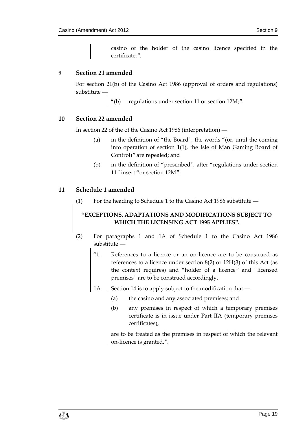casino of the holder of the casino licence specified in the certificate.".

#### <span id="page-18-0"></span>**9 Section 21 amended**

For section 21(b) of the Casino Act 1986 (approval of orders and regulations) substitute ―

"(b) regulations under section 11 or section 12M;".

#### <span id="page-18-1"></span>**10 Section 22 amended**

In section 22 of the of the Casino Act 1986 (interpretation) ―

- (a) in the definition of "the Board", the words "(or, until the coming into operation of section 1(1), the Isle of Man Gaming Board of Control)" are repealed; and
- (b) in the definition of "prescribed", after "regulations under section 11" insert "or section 12M".

#### <span id="page-18-2"></span>**11 Schedule 1 amended**

(1) For the heading to Schedule 1 to the Casino Act 1986 substitute ―

# **"EXCEPTIONS, ADAPTATIONS AND MODIFICATIONS SUBJECT TO WHICH THE LICENSING ACT 1995 APPLIES".**

- (2) For paragraphs 1 and 1A of Schedule 1 to the Casino Act 1986 substitute ―
	- "1. References to a licence or an on-licence are to be construed as references to a licence under section 8(2) or 12H(3) of this Act (as the context requires) and "holder of a licence" and "licensed premises" are to be construed accordingly.
	- 1A. Section 14 is to apply subject to the modification that
		- (a) the casino and any associated premises; and
		- (b) any premises in respect of which a temporary premises certificate is in issue under Part IIA (temporary premises certificates),

are to be treated as the premises in respect of which the relevant on-licence is granted.".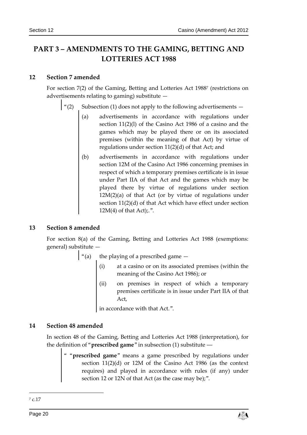# <span id="page-19-0"></span>**PART 3 – AMENDMENTS TO THE GAMING, BETTING AND LOTTERIES ACT 1988**

#### <span id="page-19-1"></span>**12 Section 7 amended**

For section 7(2) of the Gaming, Betting and Lotteries Act 1988<sup>7</sup> (restrictions on advertisements relating to gaming) substitute —

Subsection (1) does not apply to the following advertisements  $-$ 

- (a) advertisements in accordance with regulations under section 11(2)(l) of the Casino Act 1986 of a casino and the games which may be played there or on its associated premises (within the meaning of that Act) by virtue of regulations under section 11(2)(d) of that Act; and
- (b) advertisements in accordance with regulations under section 12M of the Casino Act 1986 concerning premises in respect of which a temporary premises certificate is in issue under Part IIA of that Act and the games which may be played there by virtue of regulations under section  $12M(2)(a)$  of that Act (or by virtue of regulations under section 11(2)(d) of that Act which have effect under section  $12M(4)$  of that Act);.".

#### <span id="page-19-2"></span>**13 Section 8 amended**

For section 8(a) of the Gaming, Betting and Lotteries Act 1988 (exemptions: general) substitute —

 $\int$  "(a) the playing of a prescribed game  $-$ 

- at a casino or on its associated premises (within the meaning of the Casino Act 1986); or
- (ii) on premises in respect of which a temporary premises certificate is in issue under Part IIA of that Act,

in accordance with that Act.".

### <span id="page-19-3"></span>**14 Section 48 amended**

In section 48 of the Gaming, Betting and Lotteries Act 1988 (interpretation), for the definition of "**prescribed game**" in subsection (1) substitute ―

" "**prescribed game**" means a game prescribed by regulations under section 11(2)(d) or 12M of the Casino Act 1986 (as the context requires) and played in accordance with rules (if any) under section 12 or 12N of that Act (as the case may be);".

<sup>7</sup> c.17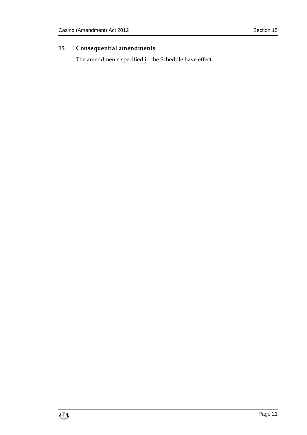# <span id="page-20-0"></span>**15 Consequential amendments**

The amendments specified in the Schedule have effect.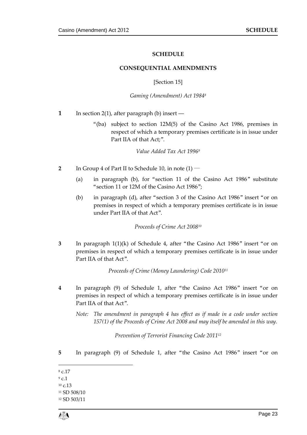#### **SCHEDULE**

#### <span id="page-22-0"></span>**CONSEQUENTIAL AMENDMENTS**

#### [Section 15]

#### *Gaming (Amendment) Act 1984<sup>8</sup>*

- <span id="page-22-1"></span>**1** In section 2(1), after paragraph (b) insert —
	- "(ba) subject to section 12M(5) of the Casino Act 1986, premises in respect of which a temporary premises certificate is in issue under Part IIA of that Act;".

*Value Added Tax Act 1996<sup>9</sup>*

- **2** In Group 4 of Part II to Schedule 10, in note (1) ―
	- (a) in paragraph (b), for "section 11 of the Casino Act 1986" substitute "section 11 or 12M of the Casino Act 1986";
	- (b) in paragraph (d), after "section 3 of the Casino Act 1986" insert "or on premises in respect of which a temporary premises certificate is in issue under Part IIA of that Act".

*Proceeds of Crime Act 2008<sup>10</sup>*

**3** In paragraph 1(1)(k) of Schedule 4, after "the Casino Act 1986" insert "or on premises in respect of which a temporary premises certificate is in issue under Part IIA of that Act".

*Proceeds of Crime (Money Laundering) Code 2010<sup>11</sup>*

- **4** In paragraph (9) of Schedule 1, after "the Casino Act 1986" insert "or on premises in respect of which a temporary premises certificate is in issue under Part IIA of that Act".
	- *Note: The amendment in paragraph 4 has effect as if made in a code under section 157(1) of the Proceeds of Crime Act 2008 and may itself be amended in this way.*

*Prevention of Terrorist Financing Code 2011<sup>12</sup>*

- **5** In paragraph (9) of Schedule 1, after "the Casino Act 1986" insert "or on
- 1 <sup>8</sup> c.17
- <sup>9</sup> c.1
- $10 \text{ C}$ .13

<sup>12</sup> SD 503/11



<sup>11</sup> SD 508/10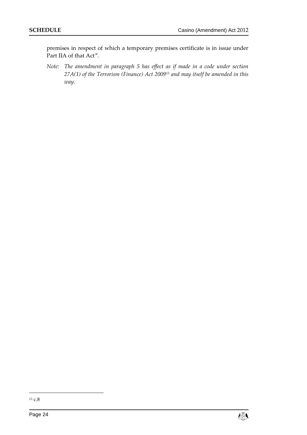premises in respect of which a temporary premises certificate is in issue under Part IIA of that Act".

*Note: The amendment in paragraph 5 has effect as if made in a code under section 27A(1) of the Terrorism (Finance) Act 2009<sup>13</sup> and may itself be amended in this way.*

<sup>13</sup> c.8